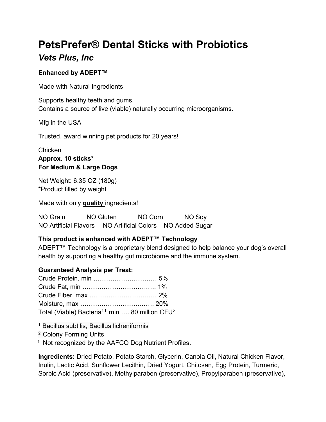# PetsPrefer® Dental Sticks with Probiotics Vets Plus, Inc

## Enhanced by ADEPT™

Made with Natural Ingredients

Supports healthy teeth and gums. Contains a source of live (viable) naturally occurring microorganisms.

Mfg in the USA

Trusted, award winning pet products for 20 years!

**Chicken** Approx. 10 sticks\* For Medium & Large Dogs

Net Weight: 6.35 OZ (180g) \*Product filled by weight

Made with only quality ingredients!

NO Grain NO Gluten NO Corn NO Sov NO Artificial Flavors NO Artificial Colors NO Added Sugar

# This product is enhanced with ADEPT™ Technology

ADEPT™ Technology is a proprietary blend designed to help balance your dog's overall health by supporting a healthy gut microbiome and the immune system.

#### Guaranteed Analysis per Treat:

| Total (Viable) Bacteria <sup>11</sup> , min  80 million CFU <sup>2</sup> |  |
|--------------------------------------------------------------------------|--|

<sup>1</sup> Bacillus subtilis, Bacillus licheniformis

<sup>2</sup> Colony Forming Units

<sup>†</sup> Not recognized by the AAFCO Dog Nutrient Profiles.

Ingredients: Dried Potato, Potato Starch, Glycerin, Canola Oil, Natural Chicken Flavor, Inulin, Lactic Acid, Sunflower Lecithin, Dried Yogurt, Chitosan, Egg Protein, Turmeric, Sorbic Acid (preservative), Methylparaben (preservative), Propylparaben (preservative),